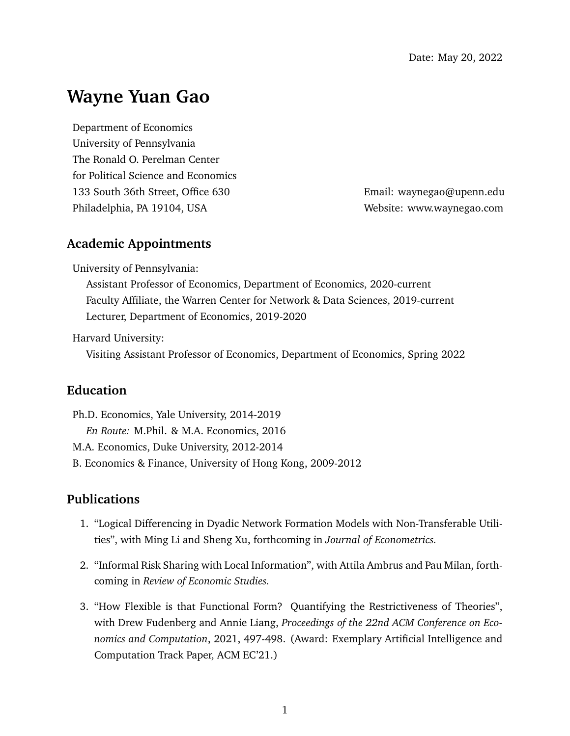# **Wayne Yuan Gao**

Department of Economics University of Pennsylvania The Ronald O. Perelman Center for Political Science and Economics 133 South 36th Street, Office 630 Email: [waynegao@upenn.edu](mailto:waynegao@upenn.edu) Philadelphia, PA 19104, USA Website: [www.waynegao.com](http://www.waynegao.com)

# **Academic Appointments**

University of Pennsylvania:

Assistant Professor of Economics, Department of Economics, 2020-current Faculty Affiliate, the Warren Center for Network & Data Sciences, 2019-current Lecturer, Department of Economics, 2019-2020

Harvard University:

Visiting Assistant Professor of Economics, Department of Economics, Spring 2022

## **Education**

Ph.D. Economics, Yale University, 2014-2019 *En Route:* M.Phil. & M.A. Economics, 2016 M.A. Economics, Duke University, 2012-2014 B. Economics & Finance, University of Hong Kong, 2009-2012

### **Publications**

- 1. ["Logical Differencing in Dyadic Network Formation Models with Non-Transferable Utili](https://www.sciencedirect.com/science/article/pii/S0304407622000884)[ties"](https://www.sciencedirect.com/science/article/pii/S0304407622000884), with [Ming Li](https://www.ming-li.net) and [Sheng Xu,](https://statistics.yale.edu/people/sheng-xu) forthcoming in *Journal of Econometrics.*
- 2. ["Informal Risk Sharing with Local Information"](https://academic.oup.com/restud/advance-article-abstract/doi/10.1093/restud/rdab091/6484652?redirectedFrom=fulltext&login=false), with [Attila Ambrus](https://sites.duke.edu/attilaambrus/) and [Pau Milan,](https://sites.google.com/site/paumilan/) forthcoming in *Review of Economic Studies.*
- 3. ["How Flexible is that Functional Form? Quantifying the Restrictiveness of Theories"](https://www.waynegao.com/uploads/8/1/4/6/81465138/fgl_210815.pdf), with [Drew Fudenberg](http://economics.mit.edu/faculty/drewf) and [Annie Liang,](https://www.anniehliang.com) *Proceedings of the 22nd ACM Conference on Economics and Computation*, 2021, 497-498. (Award: Exemplary Artificial Intelligence and Computation Track Paper, ACM EC'21.)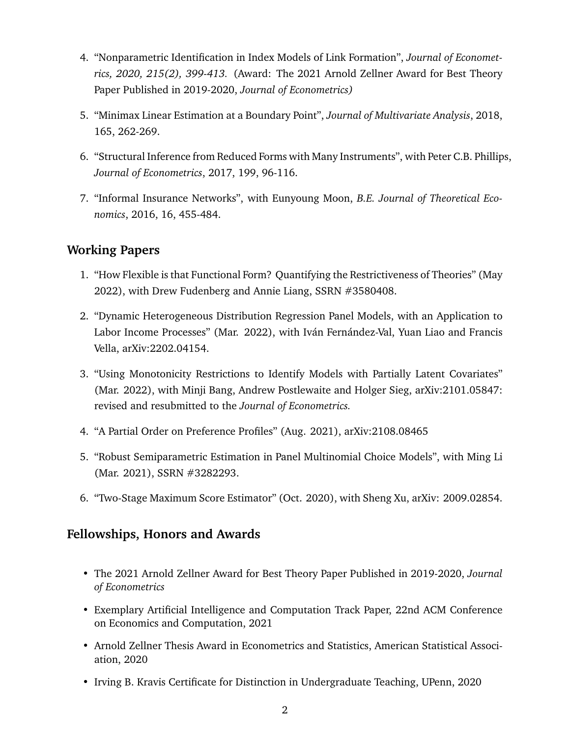- 4. ["Nonparametric Identification in Index Models of Link Formation"](https://www.sciencedirect.com/science/article/abs/pii/S0304407619302039?via%3Dihub), *Journal of Econometrics, 2020, 215(2), 399-413.* (Award: The 2021 Arnold Zellner Award for Best Theory Paper Published in 2019-2020, *Journal of Econometrics)*
- 5. ["Minimax Linear Estimation at a Boundary Point"](https://doi.org/10.1016/j.jmva.2018.01.001), *Journal of Multivariate Analysis*, 2018, 165, 262-269.
- 6. ["Structural Inference from Reduced Forms with Many Instruments"](http://www.sciencedirect.com/science/article/pii/S0304407617300659), with [Peter C.B. Phillips,](http://korora.econ.yale.edu/phillips/) *Journal of Econometrics*, 2017, 199, 96-116.
- 7. ["Informal Insurance Networks"](https://www.degruyter.com/view/j/bejte.2016.16.issue-2/bejte-2015-0006/bejte-2015-0006.xml), with [Eunyoung Moon,](https://emoon.weebly.com) *B.E. Journal of Theoretical Economics*, 2016, 16, 455-484.

# **Working Papers**

- 1. ["How Flexible is that Functional Form? Quantifying the Restrictiveness of Theories"](https://deliverypdf.ssrn.com/delivery.php?ID=627112031031101005072110094127011126017039000080068005126026109090070070081067079105028099044055108047124127094001014030009067027083008052040019110018001071070001102067081035117125089029066023089023121007127065001126094117103106117108094113115125108106&EXT=pdf&INDEX=TRUE) (May 2022), with [Drew Fudenberg](http://economics.mit.edu/faculty/drewf) and [Annie Liang,](https://www.anniehliang.com) SSRN #3580408.
- 2. ["Dynamic Heterogeneous Distribution Regression Panel Models, with an Application to](https://arxiv.org/abs/2202.04154) [Labor Income Processes"](https://arxiv.org/abs/2202.04154) (Mar. 2022), with [Iván Fernández-Val,](https://sites.bu.edu/ivanf/) [Yuan Liao](http://econweb.rutgers.edu/yl1114/) and [Francis](https://sites.google.com/georgetown.edu/francis-vella/home) [Vella,](https://sites.google.com/georgetown.edu/francis-vella/home) arXiv:2202.04154.
- 3. ["Using Monotonicity Restrictions to Identify Models with Partially Latent Covariates"](https://arxiv.org/abs/2101.05847) (Mar. 2022), with [Minji Bang,](https://economics.sas.upenn.edu/people/minji-bang) [Andrew Postlewaite](https://www.sas.upenn.edu/~apostlew/) and [Holger Sieg,](https://www.sas.upenn.edu/~holgers/) arXiv:2101.05847: revised and resubmitted to the *Journal of Econometrics.*
- 4. ["A Partial Order on Preference Profiles"](https://www.waynegao.com/uploads/8/1/4/6/81465138/prefrank_210819.pdf) (Aug. 2021), arXiv:2108.08465
- 5. ["Robust Semiparametric Estimation in Panel Multinomial Choice Models"](https://www.waynegao.com/uploads/8/1/4/6/81465138/gl_210327.pdf), with [Ming Li](https://www.ming-li.net) (Mar. 2021), SSRN #3282293.
- 6. ["Two-Stage Maximum Score Estimator"](https://arxiv.org/pdf/2009.02854.pdf) (Oct. 2020), with [Sheng Xu,](https://statistics.yale.edu/people/sheng-xu) arXiv: 2009.02854.

# **Fellowships, Honors and Awards**

- The 2021 Arnold Zellner Award for Best Theory Paper Published in 2019-2020, *Journal of Econometrics*
- Exemplary Artificial Intelligence and Computation Track Paper, 22nd ACM Conference on Economics and Computation, 2021
- Arnold Zellner Thesis Award in Econometrics and Statistics, American Statistical Association, 2020
- Irving B. Kravis Certificate for Distinction in Undergraduate Teaching, UPenn, 2020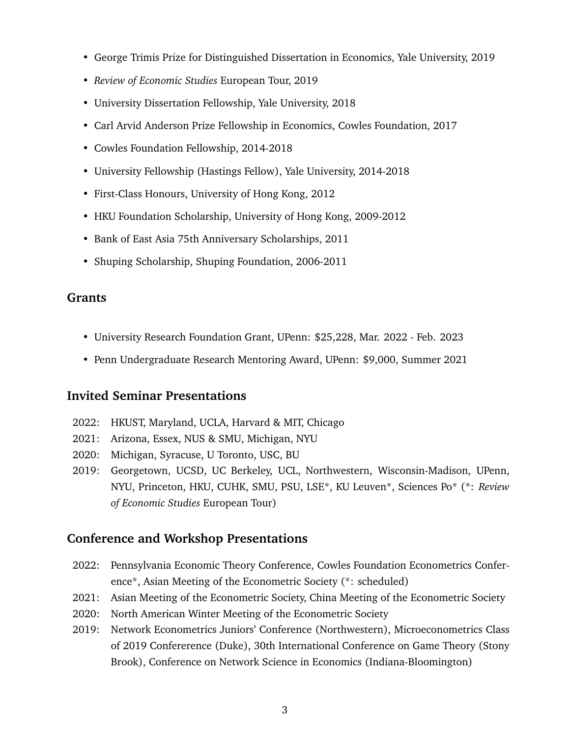- George Trimis Prize for Distinguished Dissertation in Economics, Yale University, 2019
- *Review of Economic Studies* European Tour, 2019
- University Dissertation Fellowship, Yale University, 2018
- Carl Arvid Anderson Prize Fellowship in Economics, Cowles Foundation, 2017
- Cowles Foundation Fellowship, 2014-2018
- University Fellowship (Hastings Fellow), Yale University, 2014-2018
- First-Class Honours, University of Hong Kong, 2012
- HKU Foundation Scholarship, University of Hong Kong, 2009-2012
- Bank of East Asia 75th Anniversary Scholarships, 2011
- Shuping Scholarship, Shuping Foundation, 2006-2011

#### **Grants**

- University Research Foundation Grant, UPenn: \$25,228, Mar. 2022 Feb. 2023
- Penn Undergraduate Research Mentoring Award, UPenn: \$9,000, Summer 2021

#### **Invited Seminar Presentations**

- 2022: HKUST, Maryland, UCLA, Harvard & MIT, Chicago
- 2021: Arizona, Essex, NUS & SMU, Michigan, NYU
- 2020: Michigan, Syracuse, U Toronto, USC, BU
- 2019: Georgetown, UCSD, UC Berkeley, UCL, Northwestern, Wisconsin-Madison, UPenn, NYU, Princeton, HKU, CUHK, SMU, PSU, LSE\*, KU Leuven\*, Sciences Po\* (\*: *Review of Economic Studies* European Tour)

#### **Conference and Workshop Presentations**

- 2022: Pennsylvania Economic Theory Conference, Cowles Foundation Econometrics Conference\*, Asian Meeting of the Econometric Society (\*: scheduled)
- 2021: Asian Meeting of the Econometric Society, China Meeting of the Econometric Society
- 2020: North American Winter Meeting of the Econometric Society
- 2019: Network Econometrics Juniors' Conference (Northwestern), Microeconometrics Class of 2019 Confererence (Duke), 30th International Conference on Game Theory (Stony Brook), Conference on Network Science in Economics (Indiana-Bloomington)